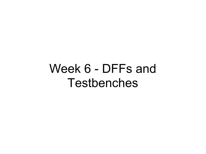# Week 6 - DFFs and Testbenches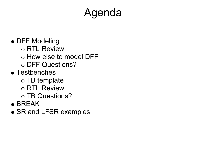# Agenda

#### • DFF Modeling

- o RTL Review
- How else to model DFF
- DFF Questions?
- Testbenches
	- $\circ$  TB template
	- RTL Review
	- o TB Questions?
- BREAK
- SR and LFSR examples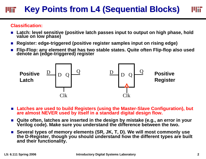#### **Key Points from L4 (Sequential Blocks) Key Points from L4 (Sequential Blocks)**

#### **Classification:**

- Latch: level sensitive (positive latch passes input to output on high phase, hold value on low phase)
- Register: edge-triggered (positive register samples input on rising edge)
- Flip-Flop: any element that has two stable states. Quite often Flip-flop also used<br>denote an (edge-triggered) register



- **Latches are used to build Registers (using the Master-Slave Configuration), but are almost NEVER used by itself in a standard digital design flow.**
- Quite often, latches are inserted in the design by mistake (e.g., an error in your **Verilog code). Make sure you understand the difference between the two.**
- Several types of memory elements (SR, JK, T, D). We will most commonly use **the D-Register, though you should understand how the different types are built and their functionality.**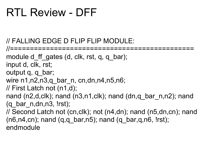### RTL Review - DFF

// FALLING EDGE D FLIP FLIP MODULE:

//============================================== module d ff gates (d, clk, rst, q, q bar); input d, clk, rst; output q, q\_bar; wire n1,n2,n3,q bar n, cn,dn,n4,n5,n6; // First Latch not (n1,d); nand (n2,d,clk); nand (n3,n1,clk); nand (dn,q bar n,n2); nand (q bar  $n, dn, n3$ , !rst); // Second Latch not (cn,clk); not (n4,dn); nand (n5,dn,cn); nand  $(n6, n4, cn)$ ; nand  $(q,q$  bar,n5); nand  $(q$  bar,q,n6, !rst); endmodule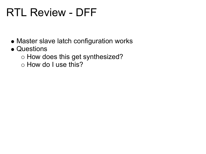## RTL Review - DFF

- Master slave latch configuration works
- Questions
	- o How does this get synthesized?
	- o How do I use this?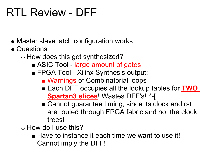# RTL Review - DFF

- Master slave latch configuration works
- Questions
	- o How does this get synthesized?
		- ASIC Tool large amount of gates
		- **FPGA Tool Xilinx Synthesis output:** 
			- Warnings of Combinatorial loops
			- Each DFF occupies all the lookup tables for **TWO Spartan3 slices**! Wastes DFF's! :'-[
			- Cannot guarantee timing, since its clock and rst are routed through FPGA fabric and not the clock trees!

How do I use this?

■ Have to instance it each time we want to use it! Cannot imply the DFF!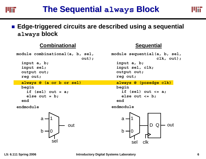

#### ■ Edge-triggered circuits are described using a sequential **always block**

#### **Combinational Sequential**

sel

**module combinational(a, b, sel, out); input a, b; input sel; output out; reg out; always @ (a or b or sel) begin if (sel) out = a; else out = b; end endmodulemodule sequential(a, b, sel, clk, out); input a, b; input sel, clk; output out; reg out; always @ (posedge clk) begin if (sel) out <= a; else out <= b; end endmodule**10outab10outab $\left\lfloor \left\lfloor \left\lfloor \right\rfloor \right\rfloor \right\rfloor$ D Q

sel

clk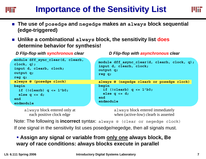#### **Importance of the Sensitivity List Importance of the Sensitivity List** шт

- **The use of posedge and negedge makes an always block sequential (edge-triggered)**
- **Unlike a combinational always block, the sensitivity list does determine behavior for synthesis!**

```
module dff_sync_clear(d, clearb, 
clock, q);
input d, clearb, clock;
output q;
reg q;
always @ (posedge clock) 
begin
  if (!clearb) q <= 1'b0;
  else q <= d; 
endendmodule
```
always block entered only at each positive clock edge

*D Flip-flop with synchronous clear D Flip-flop with asynchronous clear*

```
module dff_async_clear(d, clearb, clock, q);
input d, clearb, clock;
output q;
reg q;
always @ (negedge clearb or posedge clock) 
begin
  if (!clearb) q <= 1'b0;
  else q <= d;
endendmodule
```
always block entered immediately when (active-low) clearb is asserted

Note: The following is **incorrect** syntax: always @ (clear or negedge clock) If one signal in the sensitivity list uses posedge/negedge, then all signals must.

#### **Assign any signal or variable from only one always block, Be wary of race conditions: always blocks execute in parallel**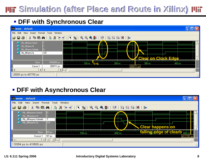#### **I'lli** Simulation (after Place and Route in Xilinx) **I'lli**

#### **DFF with Synchronous Clear**



#### **DFF with Asynchronous Clear**

| ### wave - default                                                                                                                                                                                                                                                                                                                                                                                                                                                                                  |                  |                                                              |           |
|-----------------------------------------------------------------------------------------------------------------------------------------------------------------------------------------------------------------------------------------------------------------------------------------------------------------------------------------------------------------------------------------------------------------------------------------------------------------------------------------------------|------------------|--------------------------------------------------------------|-----------|
| Edit<br>View Insert Format Tools Window<br>File                                                                                                                                                                                                                                                                                                                                                                                                                                                     |                  |                                                              |           |
| $\mathcal{A} \mid \mathcal{B} \mid \mathbb{B} \mid \mathbb{B} \mid \mathbb{B} \mid \mathcal{B} \mid \mathcal{B} \mid \mathcal{B} \mid \mathcal{A} \mid \mathcal{A} \mid \mathcal{B} \mid \mathcal{B} \mid \mathcal{B} \mid \mathcal{B} \mid \mathcal{B} \mid \mathcal{B} \mid \mathcal{B} \mid \mathcal{B} \mid \mathcal{B} \mid \mathcal{B} \mid \mathcal{B} \mid \mathcal{B} \mid \mathcal{B} \mid \mathcal{B} \mid \mathcal{B} \mid \mathcal{B} \mid \mathcal{B} \mid \mathcal{$<br>$\mathbf{r}$ |                  |                                                              |           |
| /tb_dffasync/clock<br>/tb_dffasync/d<br>/tb_dffasync/clearb<br>/tb_dffasync/q                                                                                                                                                                                                                                                                                                                                                                                                                       | $\vert$ 0<br>St1 | Clear happens on                                             |           |
| <b>Now</b>                                                                                                                                                                                                                                                                                                                                                                                                                                                                                          | 00 <sub>ps</sub> | falling edge of clearb 400 ns<br>100 <sub>ns</sub><br>200 ns |           |
| Cursor 1                                                                                                                                                                                                                                                                                                                                                                                                                                                                                            | 97 ps            |                                                              | 411797 ps |
| $\rightarrow$<br>$\blacktriangleright$                                                                                                                                                                                                                                                                                                                                                                                                                                                              |                  |                                                              |           |
| 19394 ps to 419555 ps                                                                                                                                                                                                                                                                                                                                                                                                                                                                               |                  |                                                              |           |

#### **L5: 6.111 Spring 2006 Introductory Digital Systems Laboratory 8**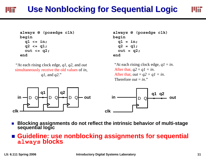#### **Use Nonblocking for Sequential Logic**

```
always @ (posedge clk) 
begin
  q1 <= in;
  q2 <= q1;
  out <= q2;
end
```
"At each rising clock edge, *q1*, *q2*, and *out* simultaneously receive the old values of *in*, *q1*, and *q2*."



**always @ (posedge clk) begin q1 = in; q2 = q1; out = q2; end** 

"At each rising clock edge, *q1* <sup>=</sup>*in*. After that,  $q2 = q1 = in$ . After that,  $out = q2 = q1 = in$ . Therefore *out* <sup>=</sup>*in*."



× **Blocking assignments do not reflect the intrinsic behavior of multi-stage sequential logic**

#### ■ Guideline: use nonblocking assignments for sequential **always blocks**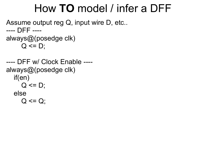### How **TO** model / infer a DFF

Assume output reg Q, input wire D, etc.. ---- DFF --- always@(posedge clk)  $Q \leq D$ ;

---- DFF w/ Clock Enable --- always@(posedge clk) if(en)  $Q \leq D$ ; else  $Q \le Q$ ;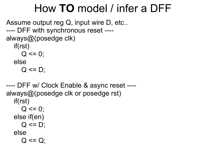### How **TO** model / infer a DFF

```
Assume output reg Q, input wire D, etc..
---- DFF with synchronous reset ----
always@(posedge clk)
   if(rst)
     Q \le 0;
   else
     Q \leq D;
```
---- DFF w/ Clock Enable & async reset --- always@(posedge clk or posedge rst) if(rst)  $Q \le 0$ ; else if(en)  $Q \leq D$ ; else  $Q \le Q$ ;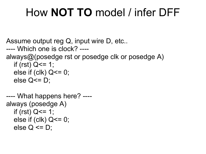# How **NOT TO** model / infer DFF

Assume output reg Q, input wire D, etc..

```
---- Which one is clock? ----
```
always@(posedge rst or posedge clk or posedge A)

```
if (rst) Q \le 1;
else if (clk) Q \le 0;
else Q \le D;
```

```
---- What happens here? ----
always (posedge A)
  if (rst) Q \le 1;
  else if (clk) Q \le 0;
  else Q \leq D:
```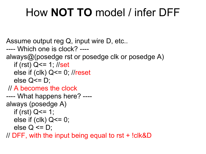# How **NOT TO** model / infer DFF

Assume output reg Q, input wire D, etc..

```
---- Which one is clock? ----
```
always@(posedge rst or posedge clk or posedge A)

```
if (rst) Q \le 1; //set
```

```
else if (clk) Q \le 0; //reset
```

```
else Q \le D;
```
// A becomes the clock

```
---- What happens here? ----
always (posedge A)
```

```
if (rst) Q \le 1;
```

```
else if (clk) Q \le 0;
```

```
else Q \leq D;
```
// DFF, with the input being equal to rst + !clk&D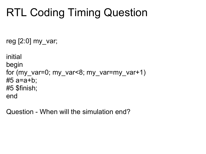# RTL Coding Timing Question

reg  $[2:0]$  my var;

```
initial
begin
for (my var=0; my var<8; my var=my var+1)
#5 a=a+b;
#5 $finish;
end
```
Question - When will the simulation end?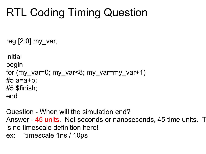# RTL Coding Timing Question

reg  $[2:0]$  my var;

```
initial
begin
for (my var=0; my var<8; my var=my var+1)
#5 a=a+b;
#5 $finish;
end
```
Question - When will the simulation end? Answer - 45 units. Not seconds or nanoseconds, 45 time units. The is no timescale definition here! ex: `timescale 1ns / 10ps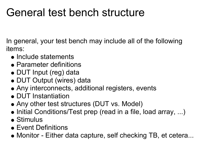### General test bench structure

In general, your test bench may include all of the following items:

- Include statements
- Parameter definitions
- DUT Input (reg) data
- DUT Output (wires) data
- Any interconnects, additional registers, events
- DUT Instantiation
- Any other test structures (DUT vs. Model)
- Initial Conditions/Test prep (read in a file, load array, ...)
- Stimulus
- Event Definitions
- Monitor Either data capture, self checking TB, et cetera...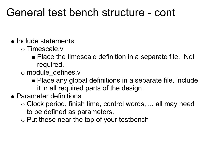- Include statements
	- o Timescale.v
		- Place the timescale definition in a separate file. Not required.
	- o module defines.v
		- Place any global definitions in a separate file, include it in all required parts of the design.
- Parameter definitions
	- $\circ$  Clock period, finish time, control words, ... all may need to be defined as parameters.
	- $\circ$  Put these near the top of your testbench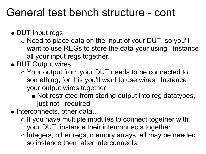#### DUT Input regs

- $\circ$  Need to place data on the input of your DUT, so you'll want to use REGs to store the data your using. Instance all your input regs together.
- DUT Output wires
	- Your output from your DUT needs to be connected to something, for this you'll want to use wires. Instance your output wires together.
		- Not restricted from storing output into reg datatypes, just not required
- Interconnects, other data...
	- $\circ$  If you have multiple modules to connect together with your DUT, instance their interconnects together.
	- $\circ$  Integers, other regs, memory arrays, all may be needed, so instance them after interconnects.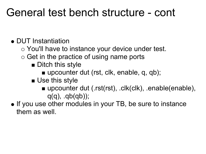#### • DUT Instantiation

- You'll have to instance your device under test.
- $\circ$  Get in the practice of using name ports
	- **Ditch this style** 
		- upcounter dut (rst, clk, enable, q, qb);
	- **Use this style** 
		- upcounter dut (.rst(rst), .clk(clk), .enable(enable),  $q(q)$ ,  $q(b(qb))$ ;
- If you use other modules in your TB, be sure to instance them as well.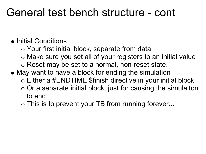#### • Initial Conditions

- Your first initial block, separate from data
- Make sure you set all of your registers to an initial value
- o Reset may be set to a normal, non-reset state.
- May want to have a block for ending the simulation
	- Either a #ENDTIME \$finish directive in your initial block
	- $\circ$  Or a separate initial block, just for causing the simulaiton to end
	- $\circ$  This is to prevent your TB from running forever...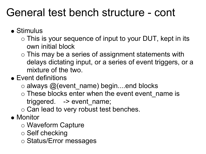- Stimulus
	- $\circ$  This is your sequence of input to your DUT, kept in its own initial block
	- This may be a series of assignment statements with delays dictating input, or a series of event triggers, or a mixture of the two.
- Event definitions
	- $\circ$  always @(event name) begin....end blocks
	- $\circ$  These blocks enter when the event event name is triggered. -> event name;
	- $\circ$  Can lead to very robust test benches.
- Monitor
	- Waveform Capture
	- $\circ$  Self checking
	- o Status/Error messages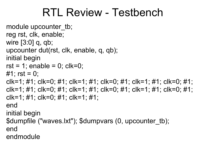### RTL Review - Testbench

```
module upcounter tb;
reg rst, clk, enable; 
wire [3:0] q, qb; 
upcounter dut(rst, clk, enable, q, qb); 
initial begin 
rst = 1; enable = 0; clk=0;
#1; rst = 0;
clk=1; #1; clk=0; #1; clk=1; #1; clk=0; #1; clk=1; #1; clk=0; #1; 
clk=1; #1; clk=0; #1; clk=1; #1; clk=0; #1; clk=1; #1; clk=0; #1; 
clk=1; #1; clk=0; #1; clk=1; #1; 
end 
initial begin 
$dumpfile ("waves.lxt"); $dumpvars (0, upcounter_tb); 
end 
endmodule
```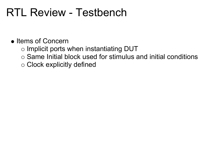### RTL Review - Testbench

- Items of Concern
	- $\circ$  Implicit ports when instantiating DUT
	- $\circ$  Same Initial block used for stimulus and initial conditions
	- Clock explicitly defined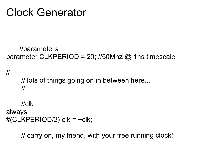### Clock Generator

```
 //parameters
parameter CLKPERIOD = 20; //50Mhz @ 1ns timescale
```

```
//
      // lots of things going on in between here...
      //
```

```
 //clk
always
#(CLKPERIOD/2) clk = \simclk;
```
// carry on, my friend, with your free running clock!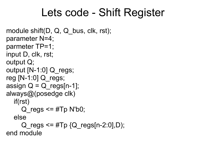### Lets code - Shift Register

```
module shift(D, Q, Q bus, clk, rst);
parameter N=4; 
parmeter TP=1; 
input D, clk, rst; 
output Q; 
output [N-1:0] Q_regs;
reg [N-1:0] Q regs;
assign Q = Q regs[n-1];
always@(posedge clk) 
   if(rst) 
     Q regs \leq \#Tp N'b0;
   else 
     Q regs \leq #Tp {Q regs[n-2:0],D);
end module
```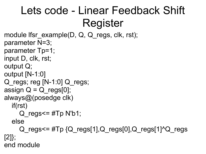# Lets code - Linear Feedback Shift Register

```
module lfsr_example(D, Q, Q regs, clk, rst);
parameter N=3; 
parameter Tp=1; 
input D, clk, rst; 
output Q; 
output [N-1:0] 
Q regs; reg [N-1:0] Q regs;
assign Q = Q regs[0];
always@(posedge clk)
   if(rst) 
     Q regs\leq #Tp N'b1;
   else 
     Q regs\leq #Tp {Q regs[1],Q regs[0],Q regs[1]^Q regs
[2]}; 
end module
```